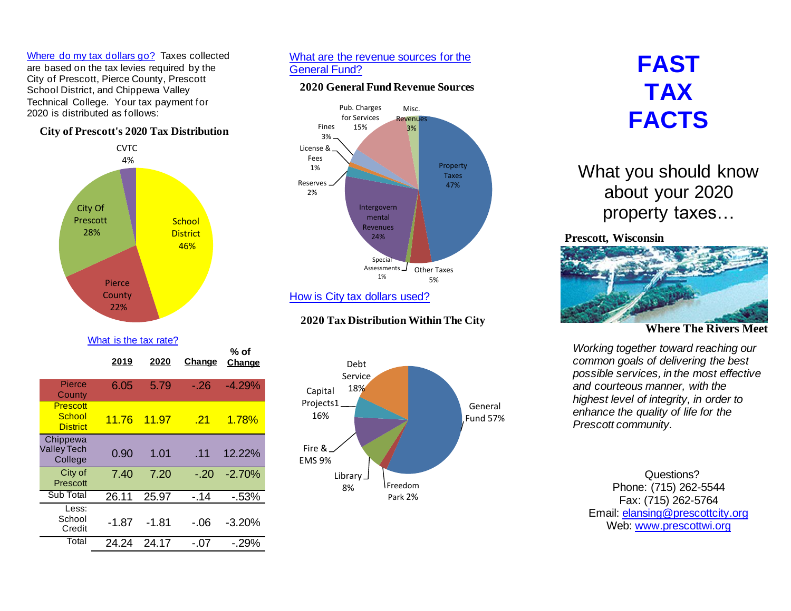Where do my tax dollars go? Taxes collected are based on the tax levies required by the City of Prescott, Pierce County, Prescott School District, and Chippewa Valley Technical College. Your tax payment for 2020 is distributed as follows:

### **City of Prescott's 2020 Tax Distribution**



#### What is the tax rate?

 **% of**

|  |                                           | 2019  | 2020    | Change | 70 VI<br>Change |
|--|-------------------------------------------|-------|---------|--------|-----------------|
|  | Pierce<br>County                          | 6.05  | 5.79    | - 26   | $-4.29%$        |
|  | Prescott<br>School<br><b>District</b>     | 11.76 | 11.97   | .21    | 1.78%           |
|  | Chippewa<br><b>Valley Tech</b><br>College | 0.90  | 1.01    | .11    | 12.22%          |
|  | City of<br>Prescott                       | 7.40  | 7.20    | $-20$  | $-2.70%$        |
|  | Sub Total                                 | 26.11 | 25.97   | $-14$  | $-53%$          |
|  | Less:<br>School<br>Credit                 | -1.87 | $-1.81$ | - 06   | $-3.20%$        |
|  | Total                                     | 24.24 | 24.17   | -.07   | $-29\%$         |
|  |                                           |       |         |        |                 |

# What are the revenue sources for the General Fund?

## **2020 General Fund Revenue Sources**



How is City tax dollars used?

# **Where The Rivers Meet <sup>2020</sup> Tax Distribution Within The City**



# **FAST TAX FACTS**

What you should know about your 2020 property taxes…

# **Prescott, Wisconsin**



*Working together toward reaching our common goals of delivering the best possible services, in the most effective and courteous manner, with the highest level of integrity, in order to enhance the quality of life for the Prescott community.*

Questions? Phone: (715) 262-5544 Fax: (715) 262-5764 Email: elansing@prescottcity.org Web: [www.prescottwi.org](http://www.prescottwi.org/)